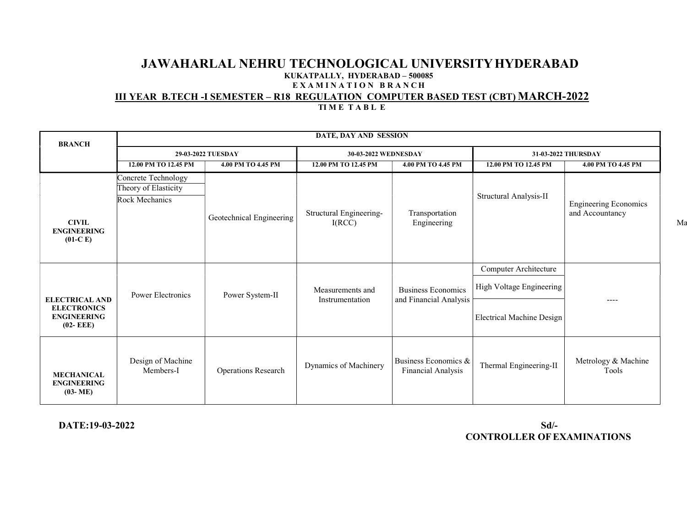# III YEAR B.TECH -I SEMESTER – R18 REGULATION COMPUTER BASED TEST (CBT) MARCH-2022

|  | <b>TIME TABLE</b> |  |
|--|-------------------|--|
|--|-------------------|--|

| <b>BRANCH</b>                                        | DATE, DAY AND SESSION                                         |                            |                                     |                                                     |                                                   |                                                 |
|------------------------------------------------------|---------------------------------------------------------------|----------------------------|-------------------------------------|-----------------------------------------------------|---------------------------------------------------|-------------------------------------------------|
|                                                      | 29-03-2022 TUESDAY                                            |                            | 30-03-2022 WEDNESDAY                |                                                     | 31-03-2022 THURSDAY                               |                                                 |
|                                                      | 12.00 PM TO 12.45 PM                                          | 4.00 PM TO 4.45 PM         | 12.00 PM TO 12.45 PM                | 4.00 PM TO 4.45 PM                                  | 12.00 PM TO 12.45 PM                              | 4.00 PM TO 4.45 PM                              |
| <b>CIVIL</b><br><b>ENGINEERING</b><br>$(01-C)$       | Concrete Technology<br>Theory of Elasticity<br>Rock Mechanics | Geotechnical Engineering   | Structural Engineering-<br>I(RCC)   | Transportation<br>Engineering                       | Structural Analysis-II                            | <b>Engineering Economics</b><br>and Accountancy |
| <b>ELECTRICAL AND</b><br><b>ELECTRONICS</b>          | Power Electronics                                             | Power System-II            | Measurements and<br>Instrumentation | <b>Business Economics</b><br>and Financial Analysis | Computer Architecture<br>High Voltage Engineering | $---$                                           |
| <b>ENGINEERING</b><br>$(02 - EEE)$                   |                                                               |                            |                                     |                                                     | <b>Electrical Machine Design</b>                  |                                                 |
| <b>MECHANICAL</b><br><b>ENGINEERING</b><br>$(03-ME)$ | Design of Machine<br>Members-I                                | <b>Operations Research</b> | Dynamics of Machinery               | Business Economics &<br>Financial Analysis          | Thermal Engineering-II                            | Metrology & Machine<br>Tools                    |

DATE:19-03-2022 Sd/- CONTROLLER OF EXAMINATIONS Ma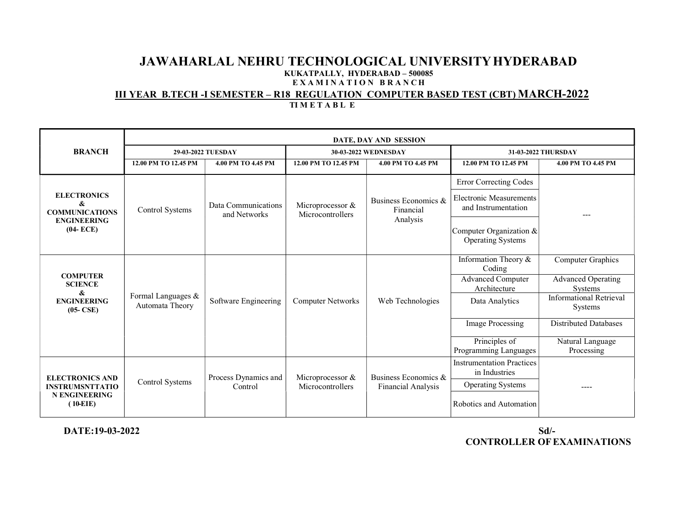#### III YEAR B.TECH -I SEMESTER – R18 REGULATION COMPUTER BASED TEST (CBT) MARCH-2022

|                                                                                        | DATE, DAY AND SESSION                 |                                     |                                      |                                                   |                                                       |                                           |
|----------------------------------------------------------------------------------------|---------------------------------------|-------------------------------------|--------------------------------------|---------------------------------------------------|-------------------------------------------------------|-------------------------------------------|
| <b>BRANCH</b>                                                                          | 29-03-2022 TUESDAY                    |                                     | 30-03-2022 WEDNESDAY                 |                                                   | 31-03-2022 THURSDAY                                   |                                           |
|                                                                                        | 12.00 PM TO 12.45 PM                  | 4.00 PM TO 4.45 PM                  | 12.00 PM TO 12.45 PM                 | 4.00 PM TO 4.45 PM                                | 12.00 PM TO 12.45 PM                                  | 4.00 PM TO 4.45 PM                        |
|                                                                                        |                                       |                                     |                                      |                                                   | Error Correcting Codes                                |                                           |
| <b>ELECTRONICS</b><br>&<br><b>COMMUNICATIONS</b>                                       | Control Systems                       | Data Communications<br>and Networks | Microprocessor &<br>Microcontrollers | Business Economics &<br>Financial                 | <b>Electronic Measurements</b><br>and Instrumentation | $---$                                     |
| <b>ENGINEERING</b><br>$(04 - ECE)$                                                     |                                       |                                     |                                      | Analysis                                          | Computer Organization &<br><b>Operating Systems</b>   |                                           |
|                                                                                        |                                       |                                     |                                      |                                                   | Information Theory &<br>Coding                        | Computer Graphics                         |
| <b>COMPUTER</b><br><b>SCIENCE</b><br>&                                                 |                                       |                                     |                                      |                                                   | <b>Advanced Computer</b><br>Architecture              | <b>Advanced Operating</b><br>Systems      |
| <b>ENGINEERING</b><br>$(05-CSE)$                                                       | Formal Languages &<br>Automata Theory | Software Engineering                | <b>Computer Networks</b>             | Web Technologies                                  | Data Analytics                                        | <b>Informational Retrieval</b><br>Systems |
|                                                                                        |                                       |                                     |                                      |                                                   | <b>Image Processing</b>                               | <b>Distributed Databases</b>              |
|                                                                                        |                                       |                                     |                                      |                                                   | Principles of<br>Programming Languages                | Natural Language<br>Processing            |
| <b>ELECTRONICS AND</b><br><b>INSTRUMSNTTATIO</b><br><b>N ENGINEERING</b><br>$(10-EIE)$ | Control Systems                       | Process Dynamics and<br>Control     | Microprocessor &<br>Microcontrollers | Business Economics &<br><b>Financial Analysis</b> | <b>Instrumentation Practices</b><br>in Industries     |                                           |
|                                                                                        |                                       |                                     |                                      |                                                   | <b>Operating Systems</b>                              | ----                                      |
|                                                                                        |                                       |                                     |                                      |                                                   | Robotics and Automation                               |                                           |

TIMETABLE

 DATE:19-03-2022 Sd/- CONTROLLER OF EXAMINATIONS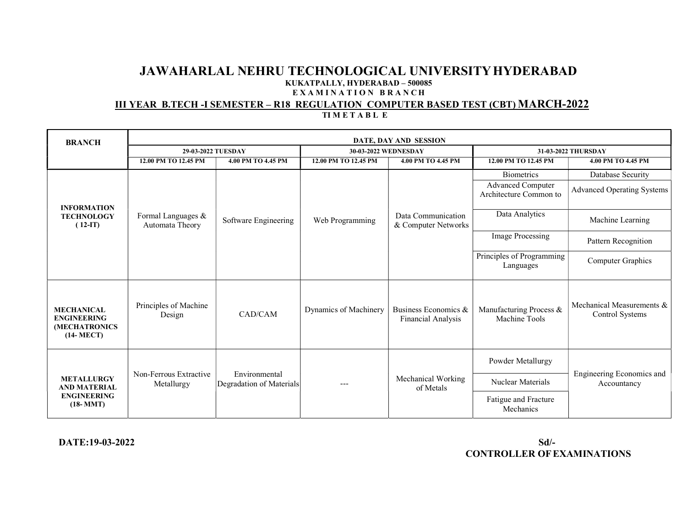#### III YEAR B.TECH -I SEMESTER – R18 REGULATION COMPUTER BASED TEST (CBT) MARCH-2022 TIMETABLE

| <b>BRANCH</b>                                                           | DATE, DAY AND SESSION                 |                                           |                       |                                                   |                                                    |                                              |
|-------------------------------------------------------------------------|---------------------------------------|-------------------------------------------|-----------------------|---------------------------------------------------|----------------------------------------------------|----------------------------------------------|
|                                                                         | 29-03-2022 TUESDAY                    |                                           | 30-03-2022 WEDNESDAY  |                                                   | 31-03-2022 THURSDAY                                |                                              |
|                                                                         | 12.00 PM TO 12.45 PM                  | 4.00 PM TO 4.45 PM                        | 12.00 PM TO 12.45 PM  | 4.00 PM TO 4.45 PM                                | 12.00 PM TO 12.45 PM                               | 4.00 PM TO 4.45 PM                           |
|                                                                         |                                       |                                           |                       |                                                   | <b>Biometrics</b>                                  | Database Security                            |
|                                                                         |                                       | Software Engineering                      | Web Programming       | Data Communication<br>& Computer Networks         | <b>Advanced Computer</b><br>Architecture Common to | <b>Advanced Operating Systems</b>            |
| <b>INFORMATION</b><br><b>TECHNOLOGY</b><br>$(12-IT)$                    | Formal Languages &<br>Automata Theory |                                           |                       |                                                   | Data Analytics                                     | Machine Learning                             |
|                                                                         |                                       |                                           |                       |                                                   | Image Processing                                   | Pattern Recognition                          |
|                                                                         |                                       |                                           |                       |                                                   | Principles of Programming<br>Languages             | Computer Graphics                            |
| <b>MECHANICAL</b><br><b>ENGINEERING</b><br>(MECHATRONICS<br>$(14-MECT)$ | Principles of Machine<br>Design       | CAD/CAM                                   | Dynamics of Machinery | Business Economics &<br><b>Financial Analysis</b> | Manufacturing Process &<br>Machine Tools           | Mechanical Measurements &<br>Control Systems |
| <b>METALLURGY</b><br><b>AND MATERIAL</b>                                | Non-Ferrous Extractive<br>Metallurgy  | Environmental<br>Degradation of Materials |                       | Mechanical Working<br>of Metals                   | Powder Metallurgy                                  | Engineering Economics and                    |
|                                                                         |                                       |                                           |                       |                                                   | Nuclear Materials                                  | Accountancy                                  |
| <b>ENGINEERING</b><br>$(18-MMT)$                                        |                                       |                                           |                       |                                                   | Fatigue and Fracture<br>Mechanics                  |                                              |

### DATE:19-03-2022 Sd/- CONTROLLER OF EXAMINATIONS